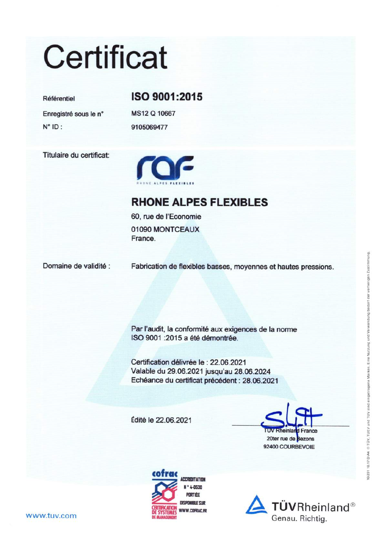# **Certificat**

### Référentiel

Enregistré sous le n°  $N^{\circ}$  ID:

Titulaire du certificat:



ISO 9001:2015

MS12 Q 10667

9105069477

### **RHONE ALPES FLEXIBLES**

60, rue de l'Economie 01090 MONTCEAUX France.

Domaine de validité :

Fabrication de flexibles basses, moyennes et hautes pressions.

Par l'audit, la conformité aux exigences de la norme ISO 9001 : 2015 a été démontrée.

Certification délivrée le : 22.06.2021 Valable du 29.06.2021 jusqu'au 28.06.2024 Echéance du certificat précédent : 28.06.2021

Édité le 22.06.2021

**TUV Rheinlar** d France 20ter rue de Bezons 92400 COURBEVOIE





#### www.tuv.com